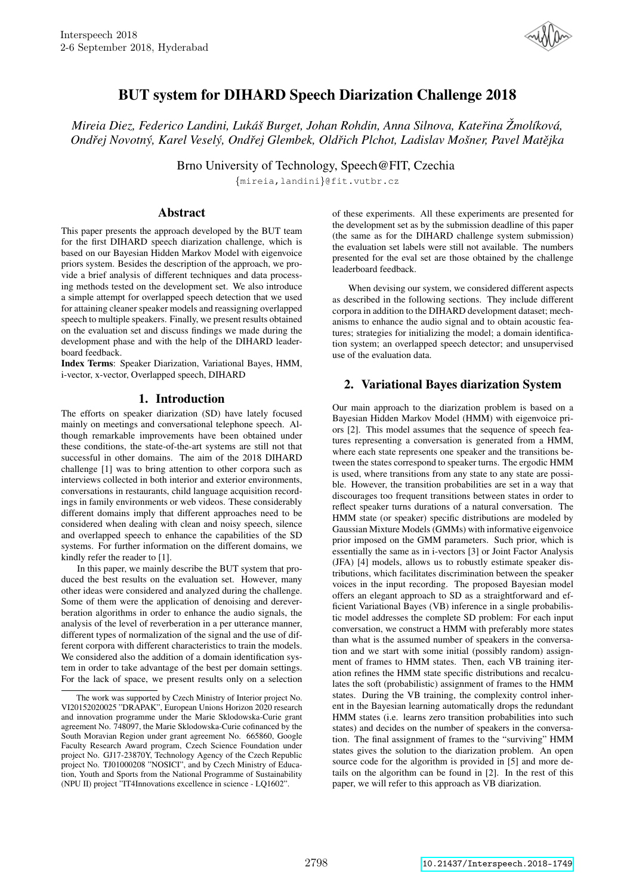

# BUT system for DIHARD Speech Diarization Challenge 2018

*Mireia Diez, Federico Landini, Luka´s Burget, Johan Rohdin, Anna Silnova, Kate ˇ rina ˇ Zmol ˇ ´ıkova, ´ Ondrej Novotn ˇ y, Karel Vesel ´ y, Ond ´ rej Glembek, Old ˇ rich Plchot, Ladislav Mo ˇ sner, Pavel Mat ˇ ejka ˇ*

Brno University of Technology, Speech@FIT, Czechia

{mireia,landini}@fit.vutbr.cz

## Abstract

This paper presents the approach developed by the BUT team for the first DIHARD speech diarization challenge, which is based on our Bayesian Hidden Markov Model with eigenvoice priors system. Besides the description of the approach, we provide a brief analysis of different techniques and data processing methods tested on the development set. We also introduce a simple attempt for overlapped speech detection that we used for attaining cleaner speaker models and reassigning overlapped speech to multiple speakers. Finally, we present results obtained on the evaluation set and discuss findings we made during the development phase and with the help of the DIHARD leaderboard feedback.

Index Terms: Speaker Diarization, Variational Bayes, HMM, i-vector, x-vector, Overlapped speech, DIHARD

## 1. Introduction

The efforts on speaker diarization (SD) have lately focused mainly on meetings and conversational telephone speech. Although remarkable improvements have been obtained under these conditions, the state-of-the-art systems are still not that successful in other domains. The aim of the 2018 DIHARD challenge [1] was to bring attention to other corpora such as interviews collected in both interior and exterior environments, conversations in restaurants, child language acquisition recordings in family environments or web videos. These considerably different domains imply that different approaches need to be considered when dealing with clean and noisy speech, silence and overlapped speech to enhance the capabilities of the SD systems. For further information on the different domains, we kindly refer the reader to [1].

In this paper, we mainly describe the BUT system that produced the best results on the evaluation set. However, many other ideas were considered and analyzed during the challenge. Some of them were the application of denoising and dereverberation algorithms in order to enhance the audio signals, the analysis of the level of reverberation in a per utterance manner, different types of normalization of the signal and the use of different corpora with different characteristics to train the models. We considered also the addition of a domain identification system in order to take advantage of the best per domain settings. For the lack of space, we present results only on a selection of these experiments. All these experiments are presented for the development set as by the submission deadline of this paper (the same as for the DIHARD challenge system submission) the evaluation set labels were still not available. The numbers presented for the eval set are those obtained by the challenge leaderboard feedback.

When devising our system, we considered different aspects as described in the following sections. They include different corpora in addition to the DIHARD development dataset; mechanisms to enhance the audio signal and to obtain acoustic features; strategies for initializing the model; a domain identification system; an overlapped speech detector; and unsupervised use of the evaluation data.

## 2. Variational Bayes diarization System

Our main approach to the diarization problem is based on a Bayesian Hidden Markov Model (HMM) with eigenvoice priors [2]. This model assumes that the sequence of speech features representing a conversation is generated from a HMM, where each state represents one speaker and the transitions between the states correspond to speaker turns. The ergodic HMM is used, where transitions from any state to any state are possible. However, the transition probabilities are set in a way that discourages too frequent transitions between states in order to reflect speaker turns durations of a natural conversation. The HMM state (or speaker) specific distributions are modeled by Gaussian Mixture Models (GMMs) with informative eigenvoice prior imposed on the GMM parameters. Such prior, which is essentially the same as in i-vectors [3] or Joint Factor Analysis (JFA) [4] models, allows us to robustly estimate speaker distributions, which facilitates discrimination between the speaker voices in the input recording. The proposed Bayesian model offers an elegant approach to SD as a straightforward and efficient Variational Bayes (VB) inference in a single probabilistic model addresses the complete SD problem: For each input conversation, we construct a HMM with preferably more states than what is the assumed number of speakers in the conversation and we start with some initial (possibly random) assignment of frames to HMM states. Then, each VB training iteration refines the HMM state specific distributions and recalculates the soft (probabilistic) assignment of frames to the HMM states. During the VB training, the complexity control inherent in the Bayesian learning automatically drops the redundant HMM states (i.e. learns zero transition probabilities into such states) and decides on the number of speakers in the conversation. The final assignment of frames to the "surviving" HMM states gives the solution to the diarization problem. An open source code for the algorithm is provided in [5] and more details on the algorithm can be found in [2]. In the rest of this paper, we will refer to this approach as VB diarization.

The work was supported by Czech Ministry of Interior project No. VI20152020025 "DRAPAK", European Unions Horizon 2020 research and innovation programme under the Marie Sklodowska-Curie grant agreement No. 748097, the Marie Sklodowska-Curie cofinanced by the South Moravian Region under grant agreement No. 665860, Google Faculty Research Award program, Czech Science Foundation under project No. GJ17-23870Y, Technology Agency of the Czech Republic project No. TJ01000208 "NOSICI", and by Czech Ministry of Education, Youth and Sports from the National Programme of Sustainability (NPU II) project "IT4Innovations excellence in science - LQ1602".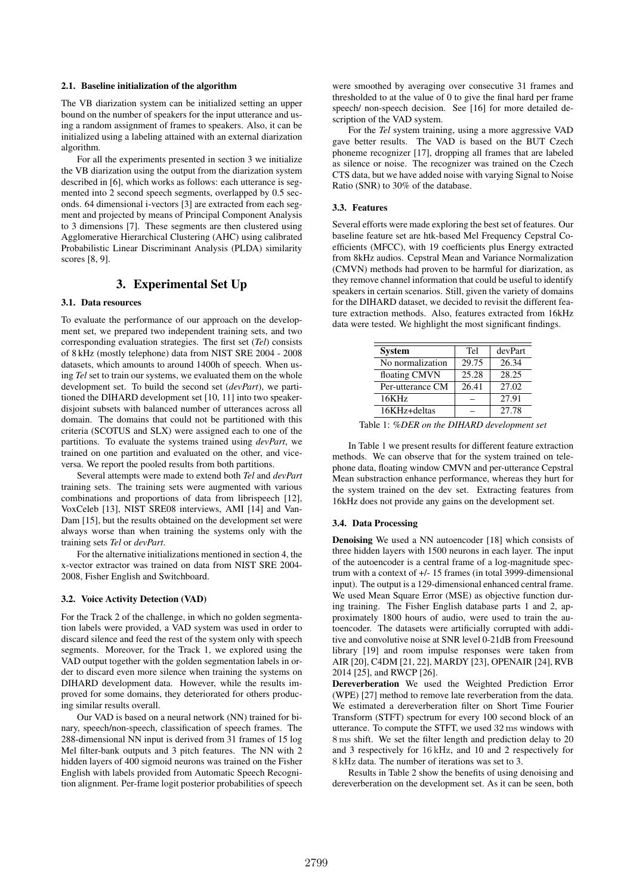### 2.1. Baseline initialization of the algorithm

The VB diarization system can be initialized setting an upper bound on the number of speakers for the input utterance and using a random assignment of frames to speakers. Also, it can be initialized using a labeling attained with an external diarization algorithm.

For all the experiments presented in section 3 we initialize the VB diarization using the output from the diarization system described in [6], which works as follows: each utterance is segmented into 2 second speech segments, overlapped by 0.5 seconds. 64 dimensional i-vectors [3] are extracted from each segment and projected by means of Principal Component Analysis to 3 dimensions [7]. These segments are then clustered using Agglomerative Hierarchical Clustering (AHC) using calibrated Probabilistic Linear Discriminant Analysis (PLDA) similarity scores [8, 9].

## 3. Experimental Set Up

#### 3.1. Data resources

To evaluate the performance of our approach on the development set, we prepared two independent training sets, and two corresponding evaluation strategies. The first set (*Tel*) consists of 8 kHz (mostly telephone) data from NIST SRE 2004 - 2008 datasets, which amounts to around 1400h of speech. When using *Tel* set to train our systems, we evaluated them on the whole development set. To build the second set (*devPart*), we partitioned the DIHARD development set [10, 11] into two speakerdisjoint subsets with balanced number of utterances across all domain. The domains that could not be partitioned with this criteria (SCOTUS and SLX) were assigned each to one of the partitions. To evaluate the systems trained using *devPart*, we trained on one partition and evaluated on the other, and viceversa. We report the pooled results from both partitions.

Several attempts were made to extend both *Tel* and *devPart* training sets. The training sets were augmented with various combinations and proportions of data from librispeech [12], VoxCeleb [13], NIST SRE08 interviews, AMI [14] and Van-Dam [15], but the results obtained on the development set were always worse than when training the systems only with the training sets *Tel* or *devPart*.

For the alternative initializations mentioned in section 4, the x-vector extractor was trained on data from NIST SRE 2004- 2008, Fisher English and Switchboard.

#### 3.2. Voice Activity Detection (VAD)

For the Track 2 of the challenge, in which no golden segmentation labels were provided, a VAD system was used in order to discard silence and feed the rest of the system only with speech segments. Moreover, for the Track 1, we explored using the VAD output together with the golden segmentation labels in order to discard even more silence when training the systems on DIHARD development data. However, while the results improved for some domains, they deteriorated for others producing similar results overall.

Our VAD is based on a neural network (NN) trained for binary, speech/non-speech, classification of speech frames. The 288-dimensional NN input is derived from 31 frames of 15 log Mel filter-bank outputs and 3 pitch features. The NN with 2 hidden layers of 400 sigmoid neurons was trained on the Fisher English with labels provided from Automatic Speech Recognition alignment. Per-frame logit posterior probabilities of speech

were smoothed by averaging over consecutive 31 frames and thresholded to at the value of 0 to give the final hard per frame speech/ non-speech decision. See [16] for more detailed description of the VAD system.

For the *Tel* system training, using a more aggressive VAD gave better results. The VAD is based on the BUT Czech phoneme recognizer [17], dropping all frames that are labeled as silence or noise. The recognizer was trained on the Czech CTS data, but we have added noise with varying Signal to Noise Ratio (SNR) to 30% of the database.

#### 3.3. Features

Several efforts were made exploring the best set of features. Our baseline feature set are htk-based Mel Frequency Cepstral Coefficients (MFCC), with 19 coefficients plus Energy extracted from 8kHz audios. Cepstral Mean and Variance Normalization (CMVN) methods had proven to be harmful for diarization, as they remove channel information that could be useful to identify speakers in certain scenarios. Still, given the variety of domains for the DIHARD dataset, we decided to revisit the different feature extraction methods. Also, features extracted from 16kHz data were tested. We highlight the most significant findings.

| <b>System</b>    | Tel   | devPart |
|------------------|-------|---------|
| No normalization | 29.75 | 26.34   |
| floating CMVN    | 25.28 | 28.25   |
| Per-utterance CM | 26.41 | 27.02   |
| 16KHz            |       | 27.91   |
| 16KHz+deltas     |       | 27.78   |

Table 1: *%DER on the DIHARD development set*

In Table 1 we present results for different feature extraction methods. We can observe that for the system trained on telephone data, floating window CMVN and per-utterance Cepstral Mean substraction enhance performance, whereas they hurt for the system trained on the dev set. Extracting features from 16kHz does not provide any gains on the development set.

#### 3.4. Data Processing

Denoising We used a NN autoencoder [18] which consists of three hidden layers with 1500 neurons in each layer. The input of the autoencoder is a central frame of a log-magnitude spectrum with a context of +/- 15 frames (in total 3999-dimensional input). The output is a 129-dimensional enhanced central frame. We used Mean Square Error (MSE) as objective function during training. The Fisher English database parts 1 and 2, approximately 1800 hours of audio, were used to train the autoencoder. The datasets were artificially corrupted with additive and convolutive noise at SNR level 0-21dB from Freesound library [19] and room impulse responses were taken from AIR [20], C4DM [21, 22], MARDY [23], OPENAIR [24], RVB 2014 [25], and RWCP [26].

Dereverberation We used the Weighted Prediction Error (WPE) [27] method to remove late reverberation from the data. We estimated a dereverberation filter on Short Time Fourier Transform (STFT) spectrum for every 100 second block of an utterance. To compute the STFT, we used 32 ms windows with 8 ms shift. We set the filter length and prediction delay to 20 and 3 respectively for 16 kHz, and 10 and 2 respectively for 8 kHz data. The number of iterations was set to 3.

Results in Table 2 show the benefits of using denoising and dereverberation on the development set. As it can be seen, both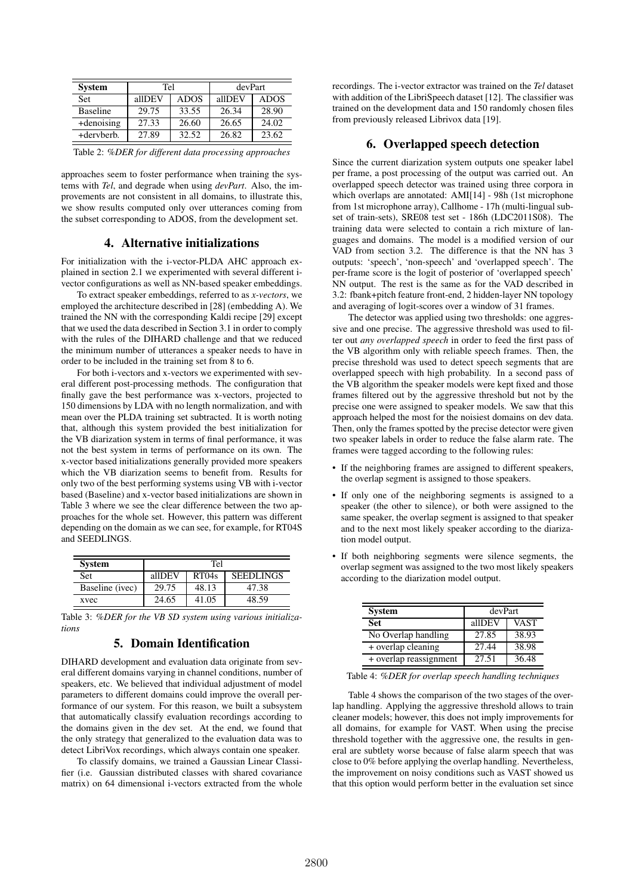| <b>System</b>   | Tel    |             | devPart |             |  |
|-----------------|--------|-------------|---------|-------------|--|
| Set             | allDEV | <b>ADOS</b> | allDEV  | <b>ADOS</b> |  |
| <b>Baseline</b> | 29.75  | 33.55       | 26.34   | 28.90       |  |
| +denoising      | 27.33  | 26.60       | 26.65   | 24.02       |  |
| +dervberb.      | 27.89  | 32.52       | 26.82   | 23.62       |  |

Table 2: *%DER for different data processing approaches*

approaches seem to foster performance when training the systems with *Tel*, and degrade when using *devPart*. Also, the improvements are not consistent in all domains, to illustrate this, we show results computed only over utterances coming from the subset corresponding to ADOS, from the development set.

## 4. Alternative initializations

For initialization with the i-vector-PLDA AHC approach explained in section 2.1 we experimented with several different ivector configurations as well as NN-based speaker embeddings.

To extract speaker embeddings, referred to as *x-vectors*, we employed the architecture described in [28] (embedding A). We trained the NN with the corresponding Kaldi recipe [29] except that we used the data described in Section 3.1 in order to comply with the rules of the DIHARD challenge and that we reduced the minimum number of utterances a speaker needs to have in order to be included in the training set from 8 to 6.

For both i-vectors and x-vectors we experimented with several different post-processing methods. The configuration that finally gave the best performance was x-vectors, projected to 150 dimensions by LDA with no length normalization, and with mean over the PLDA training set subtracted. It is worth noting that, although this system provided the best initialization for the VB diarization system in terms of final performance, it was not the best system in terms of performance on its own. The x-vector based initializations generally provided more speakers which the VB diarization seems to benefit from. Results for only two of the best performing systems using VB with i-vector based (Baseline) and x-vector based initializations are shown in Table 3 where we see the clear difference between the two approaches for the whole set. However, this pattern was different depending on the domain as we can see, for example, for RT04S and SEEDLINGS.

| <b>System</b>   | Tel    |       |                  |  |  |  |
|-----------------|--------|-------|------------------|--|--|--|
| <b>Set</b>      | alIDEV | RT04s | <b>SEEDLINGS</b> |  |  |  |
| Baseline (ivec) | 29.75  | 48.13 | 47.38            |  |  |  |
| xvec            | 24.65  | 41.05 | 48.59            |  |  |  |

Table 3: *%DER for the VB SD system using various initializations*

## 5. Domain Identification

DIHARD development and evaluation data originate from several different domains varying in channel conditions, number of speakers, etc. We believed that individual adjustment of model parameters to different domains could improve the overall performance of our system. For this reason, we built a subsystem that automatically classify evaluation recordings according to the domains given in the dev set. At the end, we found that the only strategy that generalized to the evaluation data was to detect LibriVox recordings, which always contain one speaker.

To classify domains, we trained a Gaussian Linear Classifier (i.e. Gaussian distributed classes with shared covariance matrix) on 64 dimensional i-vectors extracted from the whole recordings. The i-vector extractor was trained on the *Tel* dataset with addition of the LibriSpeech dataset [12]. The classifier was trained on the development data and 150 randomly chosen files from previously released Librivox data [19].

## 6. Overlapped speech detection

Since the current diarization system outputs one speaker label per frame, a post processing of the output was carried out. An overlapped speech detector was trained using three corpora in which overlaps are annotated: AMI[14] - 98h (1st microphone from 1st microphone array), Callhome - 17h (multi-lingual subset of train-sets), SRE08 test set - 186h (LDC2011S08). The training data were selected to contain a rich mixture of languages and domains. The model is a modified version of our VAD from section 3.2. The difference is that the NN has 3 outputs: 'speech', 'non-speech' and 'overlapped speech'. The per-frame score is the logit of posterior of 'overlapped speech' NN output. The rest is the same as for the VAD described in 3.2: fbank+pitch feature front-end, 2 hidden-layer NN topology and averaging of logit-scores over a window of 31 frames.

The detector was applied using two thresholds: one aggressive and one precise. The aggressive threshold was used to filter out *any overlapped speech* in order to feed the first pass of the VB algorithm only with reliable speech frames. Then, the precise threshold was used to detect speech segments that are overlapped speech with high probability. In a second pass of the VB algorithm the speaker models were kept fixed and those frames filtered out by the aggressive threshold but not by the precise one were assigned to speaker models. We saw that this approach helped the most for the noisiest domains on dev data. Then, only the frames spotted by the precise detector were given two speaker labels in order to reduce the false alarm rate. The frames were tagged according to the following rules:

- If the neighboring frames are assigned to different speakers, the overlap segment is assigned to those speakers.
- If only one of the neighboring segments is assigned to a speaker (the other to silence), or both were assigned to the same speaker, the overlap segment is assigned to that speaker and to the next most likely speaker according to the diarization model output.
- If both neighboring segments were silence segments, the overlap segment was assigned to the two most likely speakers according to the diarization model output.

| <b>System</b>          | devPart |             |  |  |
|------------------------|---------|-------------|--|--|
| <b>Set</b>             | allDEV  | <b>VAST</b> |  |  |
| No Overlap handling    | 27.85   | 38.93       |  |  |
| + overlap cleaning     | 27.44   | 38.98       |  |  |
| + overlap reassignment | 27.51   | 36.48       |  |  |

Table 4: *%DER for overlap speech handling techniques*

Table 4 shows the comparison of the two stages of the overlap handling. Applying the aggressive threshold allows to train cleaner models; however, this does not imply improvements for all domains, for example for VAST. When using the precise threshold together with the aggressive one, the results in general are subtlety worse because of false alarm speech that was close to 0% before applying the overlap handling. Nevertheless, the improvement on noisy conditions such as VAST showed us that this option would perform better in the evaluation set since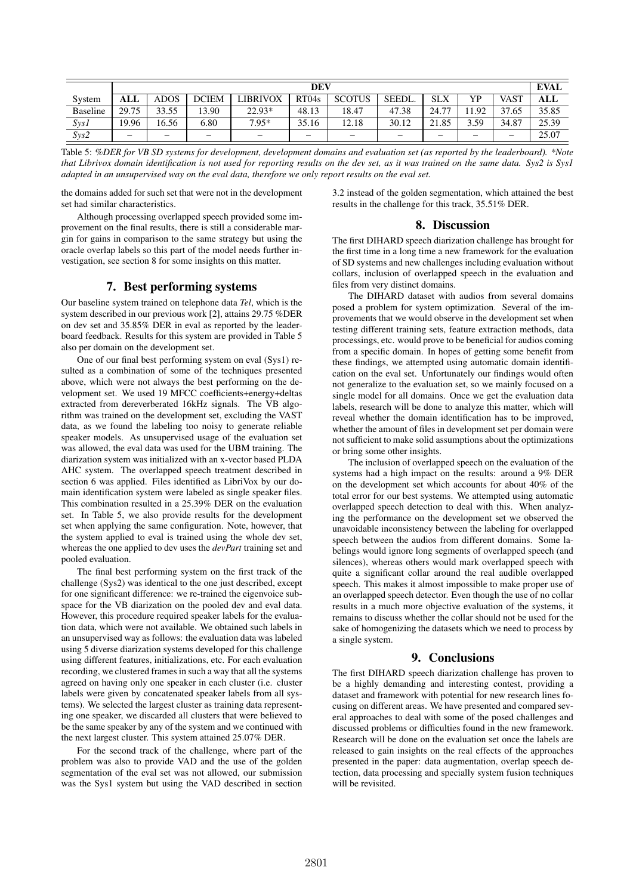|                 | <b>DEV</b> |       |              |                          |       |                          |        | <b>EVAL</b> |      |             |       |
|-----------------|------------|-------|--------------|--------------------------|-------|--------------------------|--------|-------------|------|-------------|-------|
| System          | ALL        | ADOS  | <b>DCIEM</b> | LIBRIVOX                 | RT04s | <b>SCOTUS</b>            | SEEDL. | <b>SLX</b>  | YP   | <b>VAST</b> | ALL   |
| <b>Baseline</b> | 29.75      | 33.55 | 13.90        | $22.93*$                 | 48.13 | 18.47                    | 47.38  | 24.77       | 1.92 | 37.65       | 35.85 |
| SysI            | 19.96      | 16.56 | 6.80         | $7.95*$                  | 35.16 | 12.18                    | 30.12  | 21.85       | 3.59 | 34.87       | 25.39 |
| Sys2            | -          | –     | –            | $\overline{\phantom{m}}$ |       | $\overline{\phantom{0}}$ | -      | -           | -    | –           | 25.07 |

Table 5: *%DER for VB SD systems for development, development domains and evaluation set (as reported by the leaderboard). \*Note that Librivox domain identification is not used for reporting results on the dev set, as it was trained on the same data. Sys2 is Sys1 adapted in an unsupervised way on the eval data, therefore we only report results on the eval set.*

the domains added for such set that were not in the development set had similar characteristics.

Although processing overlapped speech provided some improvement on the final results, there is still a considerable margin for gains in comparison to the same strategy but using the oracle overlap labels so this part of the model needs further investigation, see section 8 for some insights on this matter.

## 7. Best performing systems

Our baseline system trained on telephone data *Tel*, which is the system described in our previous work [2], attains 29.75 %DER on dev set and 35.85% DER in eval as reported by the leaderboard feedback. Results for this system are provided in Table 5 also per domain on the development set.

One of our final best performing system on eval (Sys1) resulted as a combination of some of the techniques presented above, which were not always the best performing on the development set. We used 19 MFCC coefficients+energy+deltas extracted from dereverberated 16kHz signals. The VB algorithm was trained on the development set, excluding the VAST data, as we found the labeling too noisy to generate reliable speaker models. As unsupervised usage of the evaluation set was allowed, the eval data was used for the UBM training. The diarization system was initialized with an x-vector based PLDA AHC system. The overlapped speech treatment described in section 6 was applied. Files identified as LibriVox by our domain identification system were labeled as single speaker files. This combination resulted in a 25.39% DER on the evaluation set. In Table 5, we also provide results for the development set when applying the same configuration. Note, however, that the system applied to eval is trained using the whole dev set, whereas the one applied to dev uses the *devPart* training set and pooled evaluation.

The final best performing system on the first track of the challenge (Sys2) was identical to the one just described, except for one significant difference: we re-trained the eigenvoice subspace for the VB diarization on the pooled dev and eval data. However, this procedure required speaker labels for the evaluation data, which were not available. We obtained such labels in an unsupervised way as follows: the evaluation data was labeled using 5 diverse diarization systems developed for this challenge using different features, initializations, etc. For each evaluation recording, we clustered frames in such a way that all the systems agreed on having only one speaker in each cluster (i.e. cluster labels were given by concatenated speaker labels from all systems). We selected the largest cluster as training data representing one speaker, we discarded all clusters that were believed to be the same speaker by any of the system and we continued with the next largest cluster. This system attained 25.07% DER.

For the second track of the challenge, where part of the problem was also to provide VAD and the use of the golden segmentation of the eval set was not allowed, our submission was the Sys1 system but using the VAD described in section 3.2 instead of the golden segmentation, which attained the best results in the challenge for this track, 35.51% DER.

## 8. Discussion

The first DIHARD speech diarization challenge has brought for the first time in a long time a new framework for the evaluation of SD systems and new challenges including evaluation without collars, inclusion of overlapped speech in the evaluation and files from very distinct domains.

The DIHARD dataset with audios from several domains posed a problem for system optimization. Several of the improvements that we would observe in the development set when testing different training sets, feature extraction methods, data processings, etc. would prove to be beneficial for audios coming from a specific domain. In hopes of getting some benefit from these findings, we attempted using automatic domain identification on the eval set. Unfortunately our findings would often not generalize to the evaluation set, so we mainly focused on a single model for all domains. Once we get the evaluation data labels, research will be done to analyze this matter, which will reveal whether the domain identification has to be improved, whether the amount of files in development set per domain were not sufficient to make solid assumptions about the optimizations or bring some other insights.

The inclusion of overlapped speech on the evaluation of the systems had a high impact on the results: around a 9% DER on the development set which accounts for about 40% of the total error for our best systems. We attempted using automatic overlapped speech detection to deal with this. When analyzing the performance on the development set we observed the unavoidable inconsistency between the labeling for overlapped speech between the audios from different domains. Some labelings would ignore long segments of overlapped speech (and silences), whereas others would mark overlapped speech with quite a significant collar around the real audible overlapped speech. This makes it almost impossible to make proper use of an overlapped speech detector. Even though the use of no collar results in a much more objective evaluation of the systems, it remains to discuss whether the collar should not be used for the sake of homogenizing the datasets which we need to process by a single system.

## 9. Conclusions

The first DIHARD speech diarization challenge has proven to be a highly demanding and interesting contest, providing a dataset and framework with potential for new research lines focusing on different areas. We have presented and compared several approaches to deal with some of the posed challenges and discussed problems or difficulties found in the new framework. Research will be done on the evaluation set once the labels are released to gain insights on the real effects of the approaches presented in the paper: data augmentation, overlap speech detection, data processing and specially system fusion techniques will be revisited.